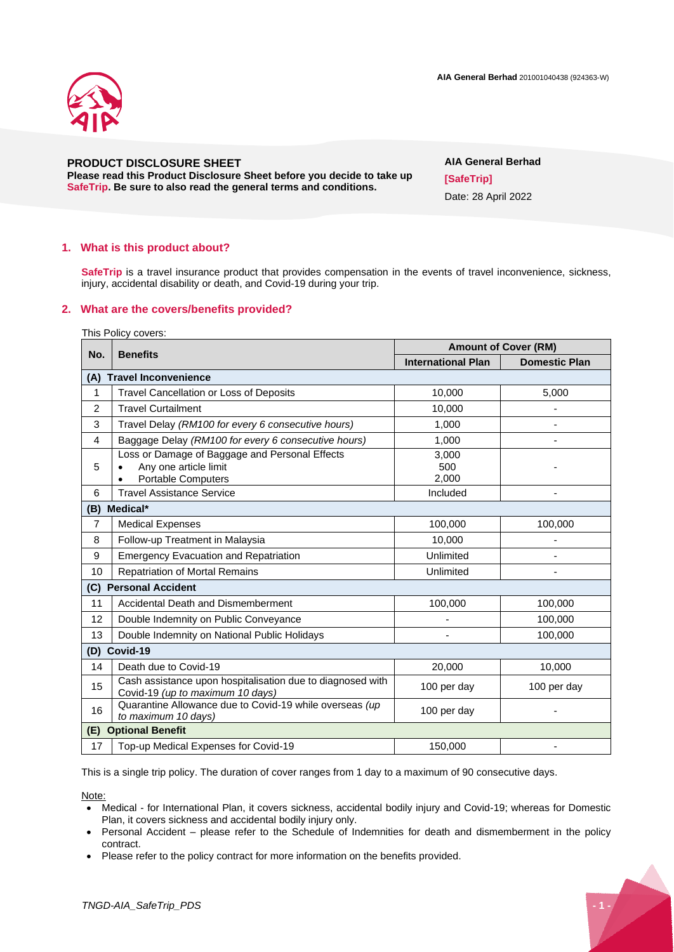



# **PRODUCT DISCLOSURE SHEET**

**Please read this Product Disclosure Sheet before you decide to take up SafeTrip. Be sure to also read the general terms and conditions.**

# **AIA General Berhad [SafeTrip]** Date: 28 April 2022

### **1. What is this product about?**

**SafeTrip** is a travel insurance product that provides compensation in the events of travel inconvenience, sickness, injury, accidental disability or death, and Covid-19 during your trip.

### **2. What are the covers/benefits provided?**

This Policy covers:

| No.                            | <b>Benefits</b>                                                                                | <b>Amount of Cover (RM)</b> |                      |  |  |
|--------------------------------|------------------------------------------------------------------------------------------------|-----------------------------|----------------------|--|--|
|                                |                                                                                                | <b>International Plan</b>   | <b>Domestic Plan</b> |  |  |
| (A) Travel Inconvenience       |                                                                                                |                             |                      |  |  |
| $\mathbf{1}$                   | Travel Cancellation or Loss of Deposits                                                        | 10,000                      | 5,000                |  |  |
| $\overline{2}$                 | <b>Travel Curtailment</b>                                                                      | 10.000                      |                      |  |  |
| 3                              | Travel Delay (RM100 for every 6 consecutive hours)                                             | 1,000                       |                      |  |  |
| 4                              | Baggage Delay (RM100 for every 6 consecutive hours)                                            | 1,000                       |                      |  |  |
| 5                              | Loss or Damage of Baggage and Personal Effects<br>Any one article limit<br>Portable Computers  | 3,000<br>500<br>2,000       |                      |  |  |
| 6                              | <b>Travel Assistance Service</b>                                                               | Included                    |                      |  |  |
| Medical*<br>(B)                |                                                                                                |                             |                      |  |  |
| $\overline{7}$                 | <b>Medical Expenses</b>                                                                        | 100,000                     | 100,000              |  |  |
| 8                              | Follow-up Treatment in Malaysia                                                                | 10,000                      |                      |  |  |
| 9                              | <b>Emergency Evacuation and Repatriation</b>                                                   | Unlimited                   |                      |  |  |
| 10                             | <b>Repatriation of Mortal Remains</b>                                                          | Unlimited                   |                      |  |  |
| (C) Personal Accident          |                                                                                                |                             |                      |  |  |
| 11                             | Accidental Death and Dismemberment                                                             | 100,000                     | 100,000              |  |  |
| 12                             | Double Indemnity on Public Conveyance                                                          |                             | 100,000              |  |  |
| 13                             | Double Indemnity on National Public Holidays                                                   |                             | 100.000              |  |  |
| Covid-19<br>(D)                |                                                                                                |                             |                      |  |  |
| 14                             | Death due to Covid-19                                                                          | 20,000                      | 10,000               |  |  |
| 15                             | Cash assistance upon hospitalisation due to diagnosed with<br>Covid-19 (up to maximum 10 days) | 100 per day                 | 100 per day          |  |  |
| 16                             | Quarantine Allowance due to Covid-19 while overseas (up<br>to maximum 10 days)                 | 100 per day                 |                      |  |  |
| <b>Optional Benefit</b><br>(E) |                                                                                                |                             |                      |  |  |
| 17                             | Top-up Medical Expenses for Covid-19                                                           | 150,000                     |                      |  |  |

This is a single trip policy. The duration of cover ranges from 1 day to a maximum of 90 consecutive days.

Note:

- Medical for International Plan, it covers sickness, accidental bodily injury and Covid-19; whereas for Domestic Plan, it covers sickness and accidental bodily injury only.
- Personal Accident please refer to the Schedule of Indemnities for death and dismemberment in the policy contract.
- Please refer to the policy contract for more information on the benefits provided.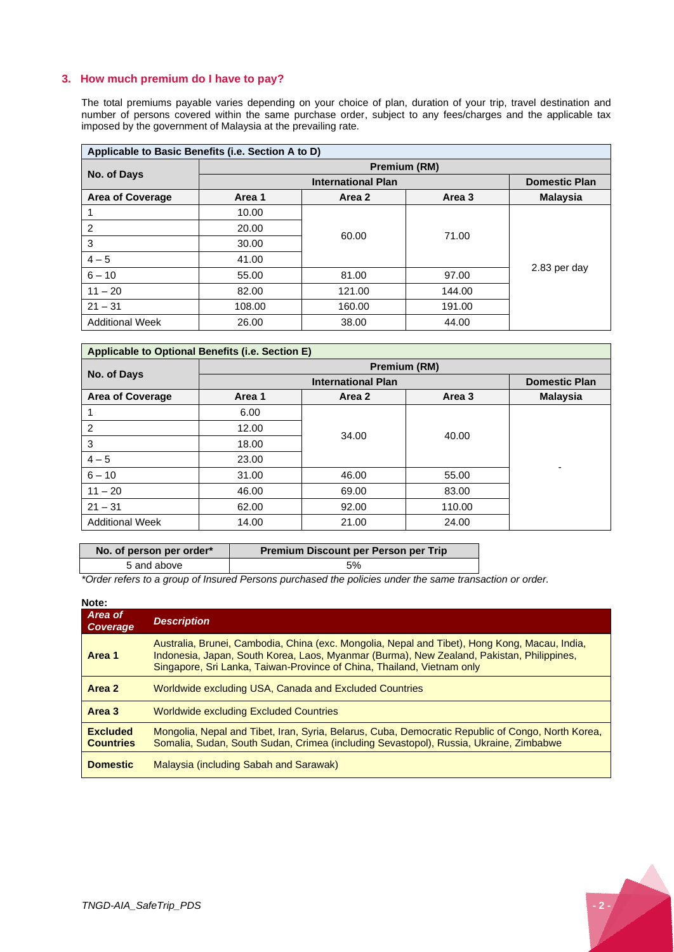### **3. How much premium do I have to pay?**

The total premiums payable varies depending on your choice of plan, duration of your trip, travel destination and number of persons covered within the same purchase order, subject to any fees/charges and the applicable tax imposed by the government of Malaysia at the prevailing rate.

| Applicable to Basic Benefits (i.e. Section A to D) |                           |        |        |                      |
|----------------------------------------------------|---------------------------|--------|--------|----------------------|
|                                                    | Premium (RM)              |        |        |                      |
| No. of Days                                        | <b>International Plan</b> |        |        | <b>Domestic Plan</b> |
| <b>Area of Coverage</b>                            | Area 1                    | Area 2 | Area 3 | <b>Malaysia</b>      |
|                                                    | 10.00                     | 60.00  |        |                      |
| 2                                                  | 20.00                     |        | 71.00  |                      |
| 3                                                  | 30.00                     |        |        | 2.83 per day         |
| $4 - 5$                                            | 41.00                     |        |        |                      |
| $6 - 10$                                           | 55.00                     | 81.00  | 97.00  |                      |
| $11 - 20$                                          | 82.00                     | 121.00 | 144.00 |                      |
| $21 - 31$                                          | 108.00                    | 160.00 | 191.00 |                      |
| <b>Additional Week</b>                             | 26.00                     | 38.00  | 44.00  |                      |

| Applicable to Optional Benefits (i.e. Section E) |                           |        |        |                      |
|--------------------------------------------------|---------------------------|--------|--------|----------------------|
| No. of Days                                      | Premium (RM)              |        |        |                      |
|                                                  | <b>International Plan</b> |        |        | <b>Domestic Plan</b> |
| <b>Area of Coverage</b>                          | Area 1                    | Area 2 | Area 3 | <b>Malaysia</b>      |
|                                                  | 6.00                      | 34.00  |        |                      |
| $\overline{2}$                                   | 12.00                     |        | 40.00  |                      |
| 3                                                | 18.00                     |        |        |                      |
| $4 - 5$                                          | 23.00                     |        |        |                      |
| $6 - 10$                                         | 31.00                     | 46.00  | 55.00  | ۰                    |
| $11 - 20$                                        | 46.00                     | 69.00  | 83.00  |                      |
| $21 - 31$                                        | 62.00                     | 92.00  | 110.00 |                      |
| <b>Additional Week</b>                           | 14.00                     | 21.00  | 24.00  |                      |

| No. of person per order* | <b>Premium Discount per Person per Trip</b> |
|--------------------------|---------------------------------------------|
| 5 and above              | 5%                                          |

*\*Order refers to a group of Insured Persons purchased the policies under the same transaction or order.*

# **Note:** *Area of Coverage Description* **Area 1** Australia, Brunei, Cambodia, China (exc. Mongolia, Nepal and Tibet), Hong Kong, Macau, India, Indonesia, Japan, South Korea, Laos, Myanmar (Burma), New Zealand, Pakistan, Philippines, Singapore, Sri Lanka, Taiwan-Province of China, Thailand, Vietnam only **Area 2** Worldwide excluding USA, Canada and Excluded Countries **Area 3** Worldwide excluding Excluded Countries **Excluded Countries** Mongolia, Nepal and Tibet, Iran, Syria, Belarus, Cuba, Democratic Republic of Congo, North Korea, Somalia, Sudan, South Sudan, Crimea (including Sevastopol), Russia, Ukraine, Zimbabwe **Domestic** Malaysia (including Sabah and Sarawak)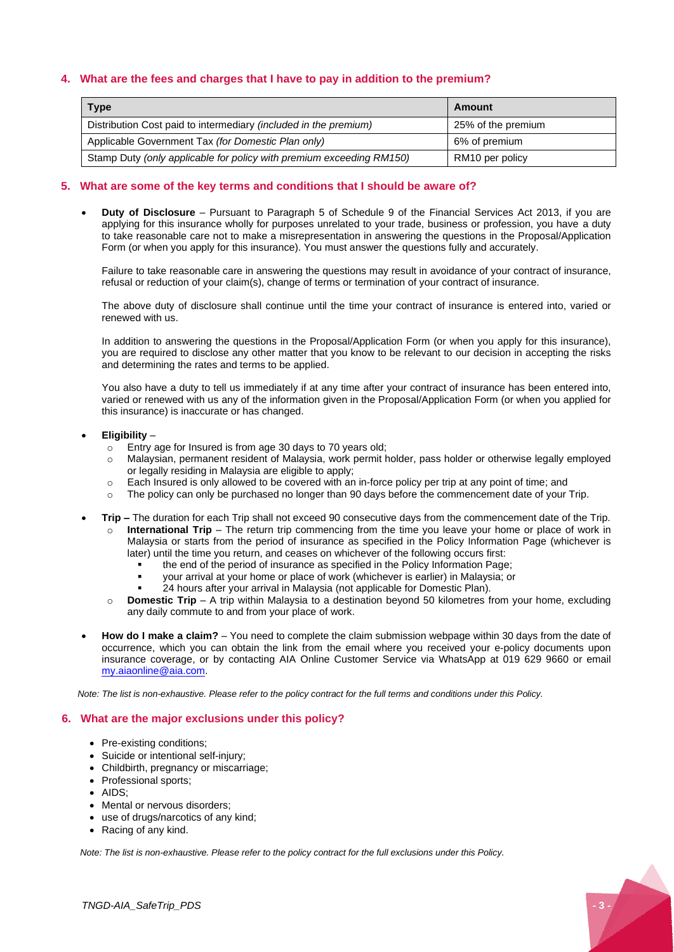### **4. What are the fees and charges that I have to pay in addition to the premium?**

| Type                                                                    | Amount             |
|-------------------------------------------------------------------------|--------------------|
| Distribution Cost paid to intermediary <i>(included in the premium)</i> | 25% of the premium |
| Applicable Government Tax (for Domestic Plan only)                      | 6% of premium      |
| Stamp Duty (only applicable for policy with premium exceeding RM150)    | RM10 per policy    |

# **5. What are some of the key terms and conditions that I should be aware of?**

• **Duty of Disclosure** – Pursuant to Paragraph 5 of Schedule 9 of the Financial Services Act 2013, if you are applying for this insurance wholly for purposes unrelated to your trade, business or profession, you have a duty to take reasonable care not to make a misrepresentation in answering the questions in the Proposal/Application Form (or when you apply for this insurance). You must answer the questions fully and accurately.

Failure to take reasonable care in answering the questions may result in avoidance of your contract of insurance, refusal or reduction of your claim(s), change of terms or termination of your contract of insurance.

The above duty of disclosure shall continue until the time your contract of insurance is entered into, varied or renewed with us.

In addition to answering the questions in the Proposal/Application Form (or when you apply for this insurance), you are required to disclose any other matter that you know to be relevant to our decision in accepting the risks and determining the rates and terms to be applied.

You also have a duty to tell us immediately if at any time after your contract of insurance has been entered into, varied or renewed with us any of the information given in the Proposal/Application Form (or when you applied for this insurance) is inaccurate or has changed.

#### • **Eligibility** –

- o Entry age for Insured is from age 30 days to 70 years old;
- o Malaysian, permanent resident of Malaysia, work permit holder, pass holder or otherwise legally employed or legally residing in Malaysia are eligible to apply;
- o Each Insured is only allowed to be covered with an in-force policy per trip at any point of time; and
- o The policy can only be purchased no longer than 90 days before the commencement date of your Trip.
- **Trip –** The duration for each Trip shall not exceed 90 consecutive days from the commencement date of the Trip.
	- **International Trip** The return trip commencing from the time you leave your home or place of work in Malaysia or starts from the period of insurance as specified in the Policy Information Page (whichever is later) until the time you return, and ceases on whichever of the following occurs first:
		- the end of the period of insurance as specified in the Policy Information Page:
		- your arrival at your home or place of work (whichever is earlier) in Malaysia; or
		- 24 hours after your arrival in Malaysia (not applicable for Domestic Plan).
	- o **Domestic Trip** A trip within Malaysia to a destination beyond 50 kilometres from your home, excluding any daily commute to and from your place of work.
- **How do I make a claim?** You need to complete the claim submission webpage within 30 days from the date of occurrence, which you can obtain the link from the email where you received your e-policy documents upon insurance coverage, or by contacting AIA Online Customer Service via WhatsApp at 019 629 9660 or email [my.aiaonline@aia.com.](mailto:my.aiaonline@aia.com)

*Note: The list is non-exhaustive. Please refer to the policy contract for the full terms and conditions under this Policy.*

# **6. What are the major exclusions under this policy?**

- Pre-existing conditions;
- Suicide or intentional self-injury;
- Childbirth, pregnancy or miscarriage;
- Professional sports;
- AIDS;
- Mental or nervous disorders;
- use of drugs/narcotics of any kind;
- Racing of any kind.

*Note: The list is non-exhaustive. Please refer to the policy contract for the full exclusions under this Policy.*